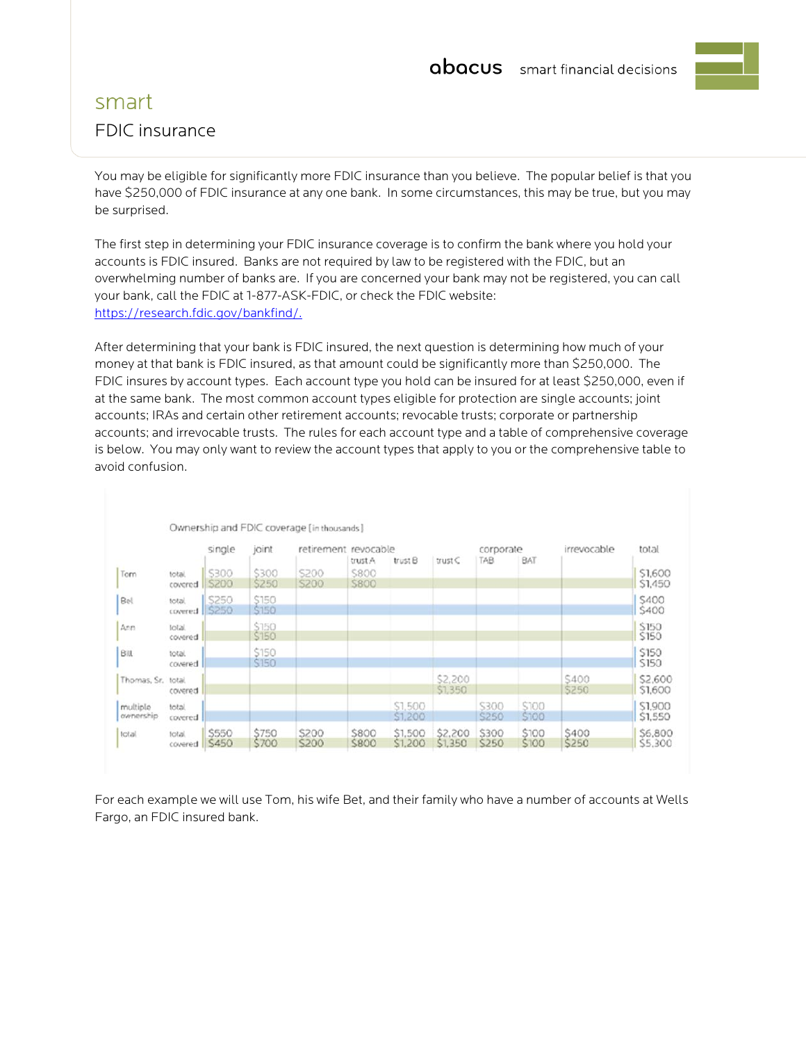## smart FDIC insurance

You may be eligible for significantly more FDIC insurance than you believe. The popular belief is that you have \$250,000 of FDIC insurance at any one bank. In some circumstances, this may be true, but you may be surprised.

The first step in determining your FDIC insurance coverage is to confirm the bank where you hold your accounts is FDIC insured. Banks are not required by law to be registered with the FDIC, but an overwhelming number of banks are. If you are concerned your bank may not be registered, you can call your bank, call the FDIC at 1-877-ASK-FDIC, or check the FDIC website: https://research.fdic.gov/bankfind/.

After determining that your bank is FDIC insured, the next question is determining how much of your money at that bank is FDIC insured, as that amount could be significantly more than \$250,000. The FDIC insures by account types. Each account type you hold can be insured for at least \$250,000, even if at the same bank. The most common account types eligible for protection are single accounts; joint accounts; IRAs and certain other retirement accounts; revocable trusts; corporate or partnership accounts; and irrevocable trusts. The rules for each account type and a table of comprehensive coverage is below. You may only want to review the account types that apply to you or the comprehensive table to avoid confusion.

|                                |                   | single         | joint          | retirement revocable |                            |                    |                    | corporate      |                | irrevocable    | total              |
|--------------------------------|-------------------|----------------|----------------|----------------------|----------------------------|--------------------|--------------------|----------------|----------------|----------------|--------------------|
|                                |                   |                |                |                      | trust A                    | trust B            | trust C            | TAB            | BAT            |                |                    |
| Tom                            | total.<br>covered | \$300<br>\$200 | \$300<br>\$250 | S200<br><b>S200</b>  | <b>S800</b><br><b>S800</b> |                    |                    |                |                |                | \$1,600<br>S1.450  |
| Bel                            | total.<br>covered | \$250<br>S250  | \$150<br>\$150 |                      |                            |                    |                    |                |                |                | \$400<br>\$400     |
| Ann                            | total.<br>covered |                | \$150<br>\$150 |                      |                            |                    |                    |                |                |                | \$150<br>\$150     |
| Bill                           | total.<br>covered |                | \$150<br>\$150 |                      |                            |                    |                    |                |                |                | \$150<br>\$150     |
| Thomas, Sr. total,             | covered           |                |                |                      |                            |                    | \$2,200<br>\$1,350 |                |                | S400<br>\$250  | \$2,600<br>\$1,600 |
| multiple<br><i>cur</i> nership | total.<br>covered |                |                |                      |                            | \$1,500<br>\$1,200 |                    | S300<br>S250   | \$100<br>\$100 |                | \$1,900<br>S1,550  |
| total                          | total<br>covered  | \$550<br>S450  | \$750<br>\$700 | \$200<br>S200        | \$800<br><b>S800</b>       | \$1,500<br>\$1,200 | \$2,200<br>\$1,350 | \$300<br>\$250 | \$100<br>\$100 | \$400<br>\$250 | S6,800<br>S5.300   |

For each example we will use Tom, his wife Bet, and their family who have a number of accounts at Wells Fargo, an FDIC insured bank.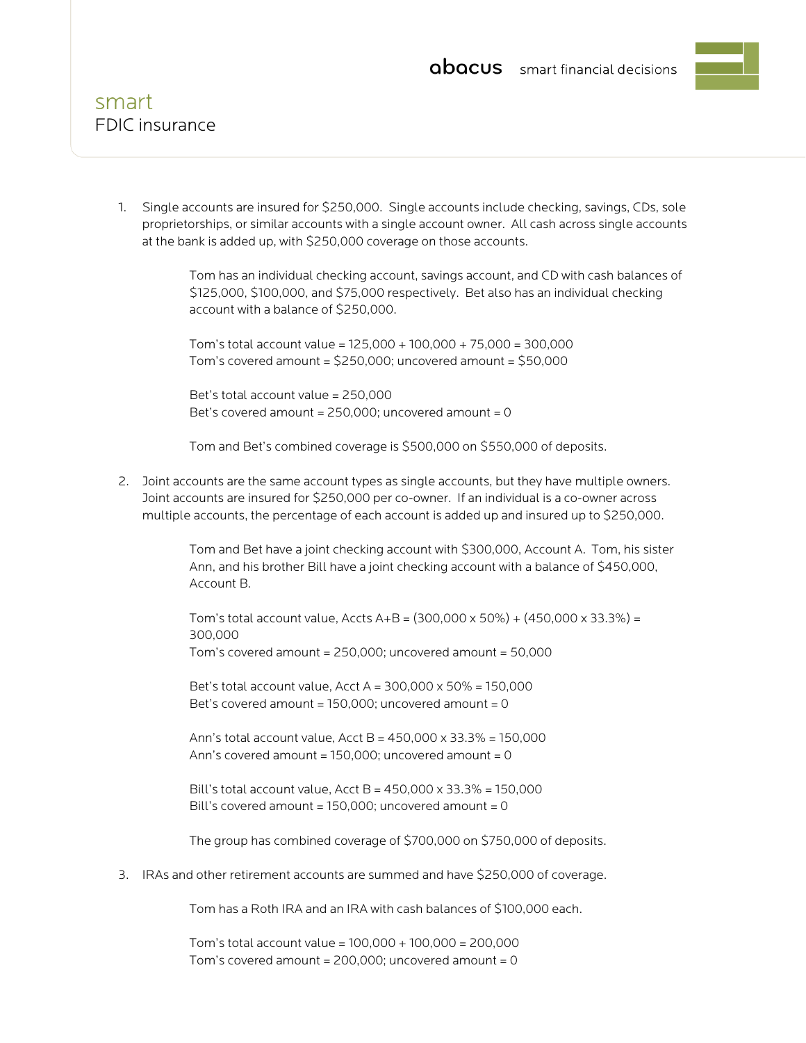

1. Single accounts are insured for \$250,000. Single accounts include checking, savings, CDs, sole proprietorships, or similar accounts with a single account owner. All cash across single accounts at the bank is added up, with \$250,000 coverage on those accounts.

> Tom has an individual checking account, savings account, and CD with cash balances of \$125,000, \$100,000, and \$75,000 respectively. Bet also has an individual checking account with a balance of \$250,000.

 Tom's total account value = 125,000 + 100,000 + 75,000 = 300,000 Tom's covered amount =  $$250,000$ ; uncovered amount =  $$50,000$ 

 Bet's total account value = 250,000 Bet's covered amount =  $250,000$ ; uncovered amount = 0

Tom and Bet's combined coverage is \$500,000 on \$550,000 of deposits.

2. Joint accounts are the same account types as single accounts, but they have multiple owners. Joint accounts are insured for \$250,000 per co-owner. If an individual is a co-owner across multiple accounts, the percentage of each account is added up and insured up to \$250,000.

> Tom and Bet have a joint checking account with \$300,000, Account A. Tom, his sister Ann, and his brother Bill have a joint checking account with a balance of \$450,000, Account B.

Tom's total account value, Accts A+B =  $(300,000 \times 50\%) + (450,000 \times 33.3\%) =$ 300,000

Tom's covered amount = 250,000; uncovered amount = 50,000

Bet's total account value, Acct A =  $300,000 \times 50\% = 150,000$ Bet's covered amount =  $150,000$ ; uncovered amount = 0

 Ann's total account value, Acct B = 450,000 x 33.3% = 150,000 Ann's covered amount =  $150,000$ ; uncovered amount = 0

Bill's total account value, Acct B =  $450,000 \times 33.3\% = 150.000$ Bill's covered amount =  $150,000$ ; uncovered amount = 0

The group has combined coverage of \$700,000 on \$750,000 of deposits.

3. IRAs and other retirement accounts are summed and have \$250,000 of coverage.

Tom has a Roth IRA and an IRA with cash balances of \$100,000 each.

 Tom's total account value = 100,000 + 100,000 = 200,000 Tom's covered amount =  $200,000$ ; uncovered amount =  $0$